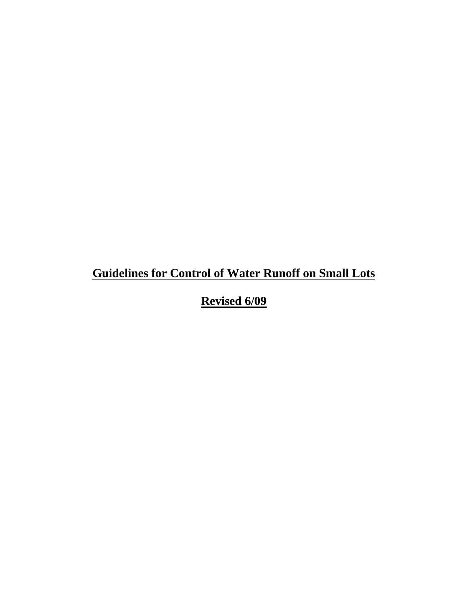# **Guidelines for Control of Water Runoff on Small Lots**

**Revised 6/09**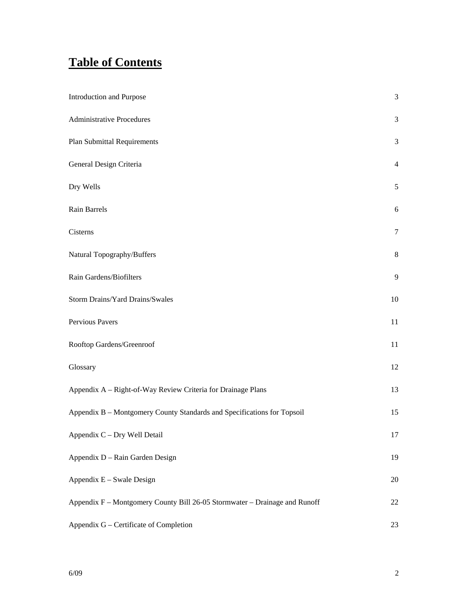# **Table of Contents**

| <b>Introduction and Purpose</b>                                            | $\mathfrak{Z}$ |
|----------------------------------------------------------------------------|----------------|
| <b>Administrative Procedures</b>                                           | $\mathfrak{Z}$ |
| <b>Plan Submittal Requirements</b>                                         | 3              |
| General Design Criteria                                                    | $\overline{4}$ |
| Dry Wells                                                                  | 5              |
| Rain Barrels                                                               | 6              |
| Cisterns                                                                   | 7              |
| Natural Topography/Buffers                                                 | $8\,$          |
| Rain Gardens/Biofilters                                                    | 9              |
| Storm Drains/Yard Drains/Swales                                            | $10\,$         |
| Pervious Pavers                                                            | 11             |
| Rooftop Gardens/Greenroof                                                  | 11             |
| Glossary                                                                   | 12             |
| Appendix A - Right-of-Way Review Criteria for Drainage Plans               | 13             |
| Appendix B - Montgomery County Standards and Specifications for Topsoil    | 15             |
| Appendix C - Dry Well Detail                                               | 17             |
| Appendix D - Rain Garden Design                                            | 19             |
| Appendix E - Swale Design                                                  | 20             |
| Appendix F - Montgomery County Bill 26-05 Stormwater - Drainage and Runoff | 22             |
| Appendix G - Certificate of Completion                                     | 23             |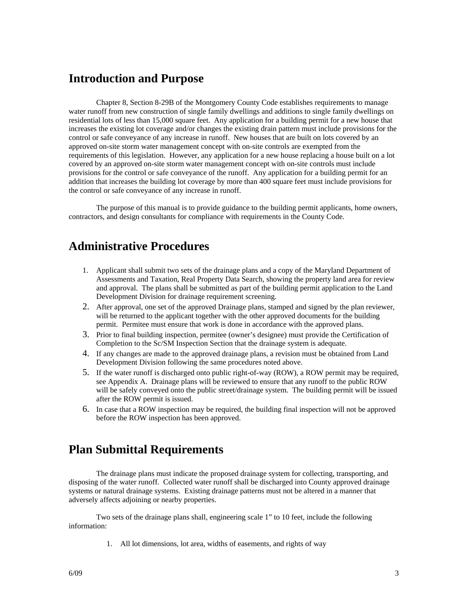#### **Introduction and Purpose**

Chapter 8, Section 8-29B of the Montgomery County Code establishes requirements to manage water runoff from new construction of single family dwellings and additions to single family dwellings on residential lots of less than 15,000 square feet. Any application for a building permit for a new house that increases the existing lot coverage and/or changes the existing drain pattern must include provisions for the control or safe conveyance of any increase in runoff. New houses that are built on lots covered by an approved on-site storm water management concept with on-site controls are exempted from the requirements of this legislation. However, any application for a new house replacing a house built on a lot covered by an approved on-site storm water management concept with on-site controls must include provisions for the control or safe conveyance of the runoff. Any application for a building permit for an addition that increases the building lot coverage by more than 400 square feet must include provisions for the control or safe conveyance of any increase in runoff.

The purpose of this manual is to provide guidance to the building permit applicants, home owners, contractors, and design consultants for compliance with requirements in the County Code.

#### **Administrative Procedures**

- 1. Applicant shall submit two sets of the drainage plans and a copy of the Maryland Department of Assessments and Taxation, Real Property Data Search, showing the property land area for review and approval. The plans shall be submitted as part of the building permit application to the Land Development Division for drainage requirement screening.
- 2. After approval, one set of the approved Drainage plans, stamped and signed by the plan reviewer, will be returned to the applicant together with the other approved documents for the building permit. Permitee must ensure that work is done in accordance with the approved plans.
- 3. Prior to final building inspection, permitee (owner's designee) must provide the Certification of Completion to the Sc/SM Inspection Section that the drainage system is adequate.
- 4. If any changes are made to the approved drainage plans, a revision must be obtained from Land Development Division following the same procedures noted above.
- 5. If the water runoff is discharged onto public right-of-way (ROW), a ROW permit may be required, see Appendix A. Drainage plans will be reviewed to ensure that any runoff to the public ROW will be safely conveyed onto the public street/drainage system. The building permit will be issued after the ROW permit is issued.
- 6. In case that a ROW inspection may be required, the building final inspection will not be approved before the ROW inspection has been approved.

#### **Plan Submittal Requirements**

The drainage plans must indicate the proposed drainage system for collecting, transporting, and disposing of the water runoff. Collected water runoff shall be discharged into County approved drainage systems or natural drainage systems. Existing drainage patterns must not be altered in a manner that adversely affects adjoining or nearby properties.

Two sets of the drainage plans shall, engineering scale 1" to 10 feet, include the following information:

1. All lot dimensions, lot area, widths of easements, and rights of way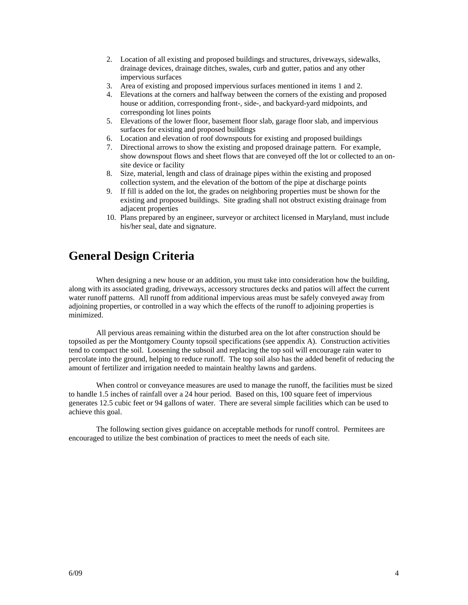- 2. Location of all existing and proposed buildings and structures, driveways, sidewalks, drainage devices, drainage ditches, swales, curb and gutter, patios and any other impervious surfaces
- 3. Area of existing and proposed impervious surfaces mentioned in items 1 and 2.
- 4. Elevations at the corners and halfway between the corners of the existing and proposed house or addition, corresponding front-, side-, and backyard-yard midpoints, and corresponding lot lines points
- 5. Elevations of the lower floor, basement floor slab, garage floor slab, and impervious surfaces for existing and proposed buildings
- 6. Location and elevation of roof downspouts for existing and proposed buildings
- 7. Directional arrows to show the existing and proposed drainage pattern. For example, show downspout flows and sheet flows that are conveyed off the lot or collected to an onsite device or facility
- 8. Size, material, length and class of drainage pipes within the existing and proposed collection system, and the elevation of the bottom of the pipe at discharge points
- 9. If fill is added on the lot, the grades on neighboring properties must be shown for the existing and proposed buildings. Site grading shall not obstruct existing drainage from adjacent properties
- 10. Plans prepared by an engineer, surveyor or architect licensed in Maryland, must include his/her seal, date and signature.

#### **General Design Criteria**

When designing a new house or an addition, you must take into consideration how the building, along with its associated grading, driveways, accessory structures decks and patios will affect the current water runoff patterns. All runoff from additional impervious areas must be safely conveyed away from adjoining properties, or controlled in a way which the effects of the runoff to adjoining properties is minimized.

All pervious areas remaining within the disturbed area on the lot after construction should be topsoiled as per the Montgomery County topsoil specifications (see appendix A). Construction activities tend to compact the soil. Loosening the subsoil and replacing the top soil will encourage rain water to percolate into the ground, helping to reduce runoff. The top soil also has the added benefit of reducing the amount of fertilizer and irrigation needed to maintain healthy lawns and gardens.

When control or conveyance measures are used to manage the runoff, the facilities must be sized to handle 1.5 inches of rainfall over a 24 hour period. Based on this, 100 square feet of impervious generates 12.5 cubic feet or 94 gallons of water. There are several simple facilities which can be used to achieve this goal.

The following section gives guidance on acceptable methods for runoff control. Permitees are encouraged to utilize the best combination of practices to meet the needs of each site.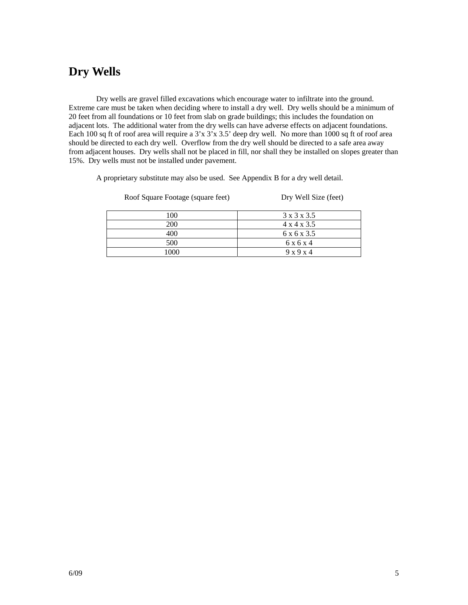### **Dry Wells**

Dry wells are gravel filled excavations which encourage water to infiltrate into the ground. Extreme care must be taken when deciding where to install a dry well. Dry wells should be a minimum of 20 feet from all foundations or 10 feet from slab on grade buildings; this includes the foundation on adjacent lots. The additional water from the dry wells can have adverse effects on adjacent foundations. Each 100 sq ft of roof area will require a  $3'x 3'x 3.5'$  deep dry well. No more than 1000 sq ft of roof area should be directed to each dry well. Overflow from the dry well should be directed to a safe area away from adjacent houses. Dry wells shall not be placed in fill, nor shall they be installed on slopes greater than 15%. Dry wells must not be installed under pavement.

A proprietary substitute may also be used. See Appendix B for a dry well detail.

Roof Square Footage (square feet) Dry Well Size (feet)

| 100  | 3 x 3 x 3.5             |
|------|-------------------------|
| 200  | $4 \times 4 \times 3.5$ |
| 400  | 6 x 6 x 3.5             |
| 500  | 6 x 6 x 4               |
| 1000 | 9x9x4                   |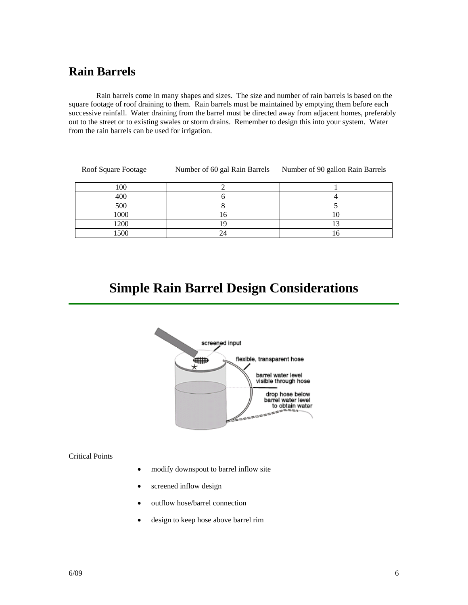#### **Rain Barrels**

Rain barrels come in many shapes and sizes. The size and number of rain barrels is based on the square footage of roof draining to them. Rain barrels must be maintained by emptying them before each successive rainfall. Water draining from the barrel must be directed away from adjacent homes, preferably out to the street or to existing swales or storm drains. Remember to design this into your system. Water from the rain barrels can be used for irrigation.

| Roof Square Footage | Number of 60 gal Rain Barrels | Number of 90 gallon Rain Barrels |
|---------------------|-------------------------------|----------------------------------|
| 100                 |                               |                                  |
| 400                 |                               |                                  |
| 500                 |                               |                                  |
| 1000                |                               |                                  |
| 1200                |                               |                                  |
| .500                |                               |                                  |

# **Simple Rain Barrel Design Considerations**



#### Critical Points

- modify downspout to barrel inflow site
- screened inflow design
- outflow hose/barrel connection
- design to keep hose above barrel rim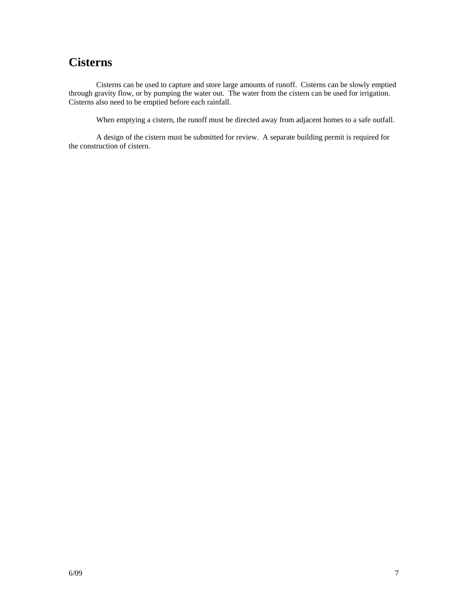### **Cisterns**

Cisterns can be used to capture and store large amounts of runoff. Cisterns can be slowly emptied through gravity flow, or by pumping the water out. The water from the cistern can be used for irrigation. Cisterns also need to be emptied before each rainfall.

When emptying a cistern, the runoff must be directed away from adjacent homes to a safe outfall.

A design of the cistern must be submitted for review. A separate building permit is required for the construction of cistern.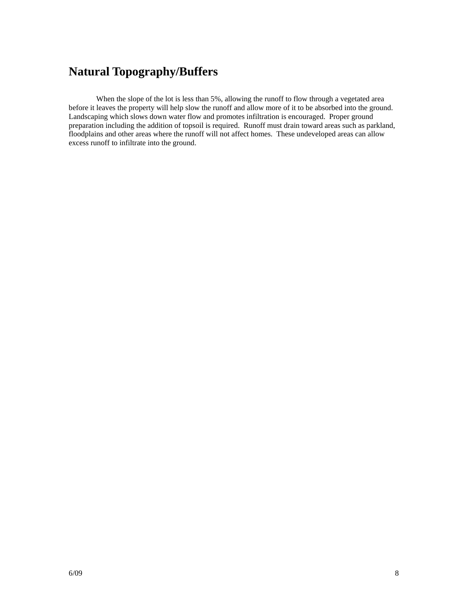### **Natural Topography/Buffers**

When the slope of the lot is less than 5%, allowing the runoff to flow through a vegetated area before it leaves the property will help slow the runoff and allow more of it to be absorbed into the ground. Landscaping which slows down water flow and promotes infiltration is encouraged. Proper ground preparation including the addition of topsoil is required. Runoff must drain toward areas such as parkland, floodplains and other areas where the runoff will not affect homes. These undeveloped areas can allow excess runoff to infiltrate into the ground.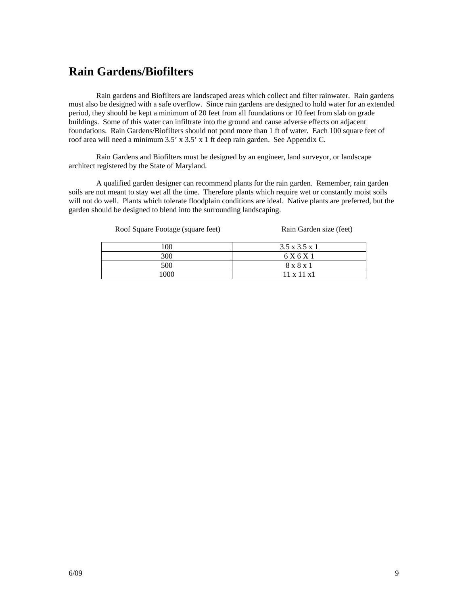#### **Rain Gardens/Biofilters**

Rain gardens and Biofilters are landscaped areas which collect and filter rainwater. Rain gardens must also be designed with a safe overflow. Since rain gardens are designed to hold water for an extended period, they should be kept a minimum of 20 feet from all foundations or 10 feet from slab on grade buildings. Some of this water can infiltrate into the ground and cause adverse effects on adjacent foundations. Rain Gardens/Biofilters should not pond more than 1 ft of water.Each 100 square feet of roof area will need a minimum 3.5' x 3.5' x 1 ft deep rain garden. See Appendix C.

Rain Gardens and Biofilters must be designed by an engineer, land surveyor, or landscape architect registered by the State of Maryland.

A qualified garden designer can recommend plants for the rain garden. Remember, rain garden soils are not meant to stay wet all the time. Therefore plants which require wet or constantly moist soils will not do well. Plants which tolerate floodplain conditions are ideal. Native plants are preferred, but the garden should be designed to blend into the surrounding landscaping.

Roof Square Footage (square feet) Rain Garden size (feet)

| 100  | $3.5 \times 3.5 \times 1$ |
|------|---------------------------|
| 300  | 6 X 6 X 1                 |
| 500  | 8 x 8 x 1                 |
| LOOO | $11 \times 11 \times 1$   |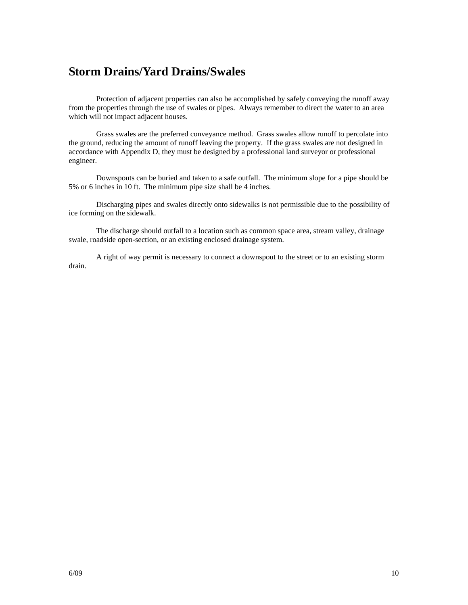### **Storm Drains/Yard Drains/Swales**

Protection of adjacent properties can also be accomplished by safely conveying the runoff away from the properties through the use of swales or pipes. Always remember to direct the water to an area which will not impact adjacent houses.

Grass swales are the preferred conveyance method. Grass swales allow runoff to percolate into the ground, reducing the amount of runoff leaving the property. If the grass swales are not designed in accordance with Appendix D, they must be designed by a professional land surveyor or professional engineer.

Downspouts can be buried and taken to a safe outfall. The minimum slope for a pipe should be 5% or 6 inches in 10 ft. The minimum pipe size shall be 4 inches.

Discharging pipes and swales directly onto sidewalks is not permissible due to the possibility of ice forming on the sidewalk.

The discharge should outfall to a location such as common space area, stream valley, drainage swale, roadside open-section, or an existing enclosed drainage system.

A right of way permit is necessary to connect a downspout to the street or to an existing storm drain.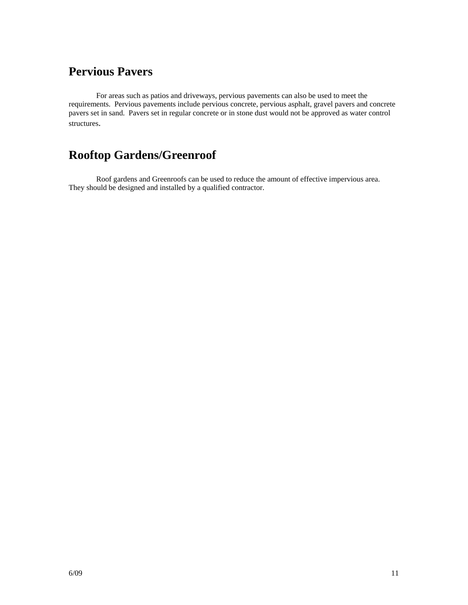### **Pervious Pavers**

For areas such as patios and driveways, pervious pavements can also be used to meet the requirements. Pervious pavements include pervious concrete, pervious asphalt, gravel pavers and concrete pavers set in sand. Pavers set in regular concrete or in stone dust would not be approved as water control structures.

## **Rooftop Gardens/Greenroof**

Roof gardens and Greenroofs can be used to reduce the amount of effective impervious area. They should be designed and installed by a qualified contractor.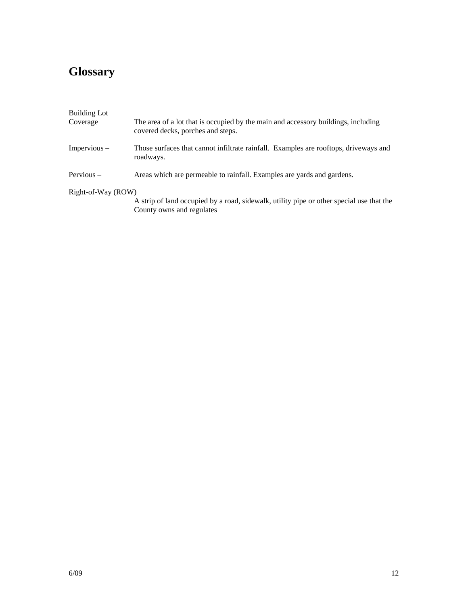# **Glossary**

| <b>Building Lot</b><br>Coverage | The area of a lot that is occupied by the main and accessory buildings, including                 |
|---------------------------------|---------------------------------------------------------------------------------------------------|
|                                 | covered decks, porches and steps.                                                                 |
| $Impervious -$                  | Those surfaces that cannot infiltrate rainfall. Examples are rooftops, driveways and<br>roadways. |
| Pervious $-$                    | Areas which are permeable to rainfall. Examples are yards and gardens.                            |
| Right-of-Way (ROW)              |                                                                                                   |
|                                 | A strip of land occupied by a road, sidewalk, utility pipe or other special use that the          |
|                                 | County owns and regulates                                                                         |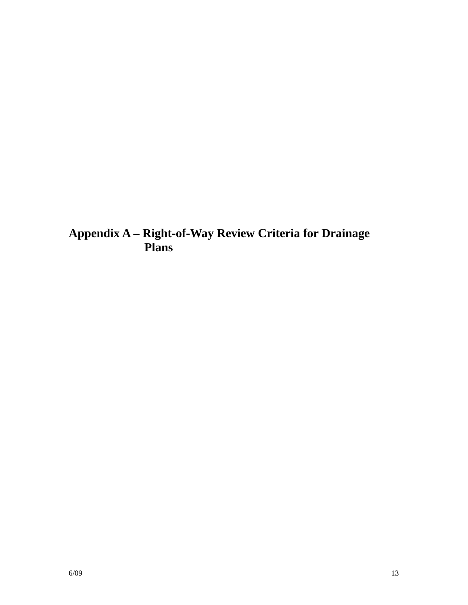**Appendix A – Right-of-Way Review Criteria for Drainage Plans**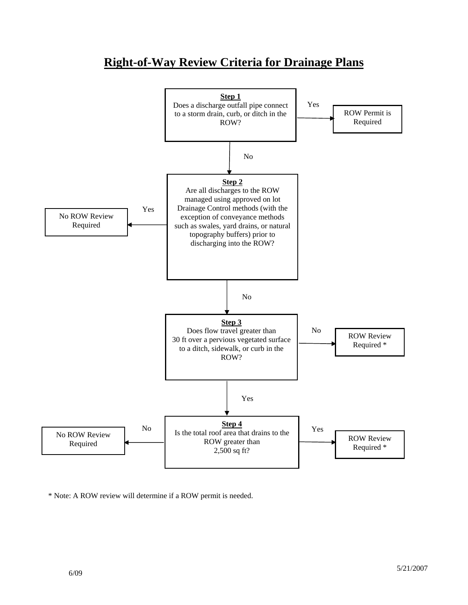

### **Right-of-Way Review Criteria for Drainage Plans**

\* Note: A ROW review will determine if a ROW permit is needed.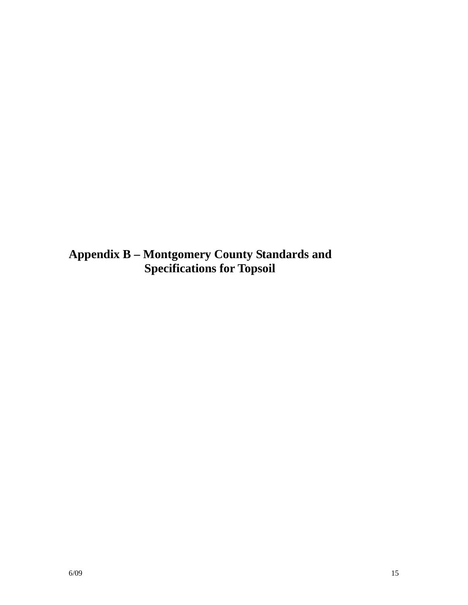**Appendix B – Montgomery County Standards and Specifications for Topsoil**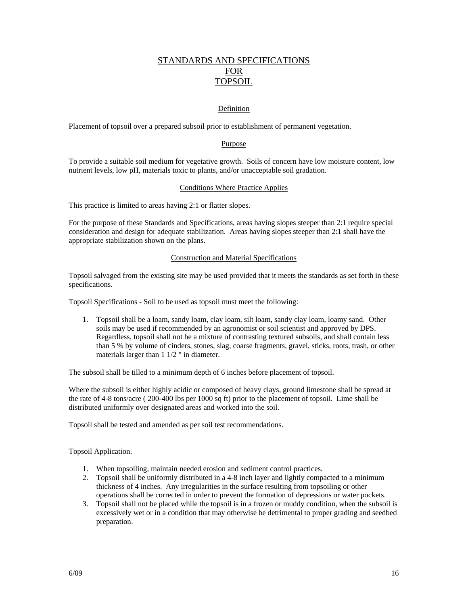#### STANDARDS AND SPECIFICATIONS FOR TOPSOIL

#### Definition

Placement of topsoil over a prepared subsoil prior to establishment of permanent vegetation.

#### Purpose

To provide a suitable soil medium for vegetative growth. Soils of concern have low moisture content, low nutrient levels, low pH, materials toxic to plants, and/or unacceptable soil gradation.

#### Conditions Where Practice Applies

This practice is limited to areas having 2:1 or flatter slopes.

For the purpose of these Standards and Specifications, areas having slopes steeper than 2:1 require special consideration and design for adequate stabilization. Areas having slopes steeper than 2:1 shall have the appropriate stabilization shown on the plans.

#### Construction and Material Specifications

Topsoil salvaged from the existing site may be used provided that it meets the standards as set forth in these specifications.

Topsoil Specifications - Soil to be used as topsoil must meet the following:

1. Topsoil shall be a loam, sandy loam, clay loam, silt loam, sandy clay loam, loamy sand. Other soils may be used if recommended by an agronomist or soil scientist and approved by DPS. Regardless, topsoil shall not be a mixture of contrasting textured subsoils, and shall contain less than 5 % by volume of cinders, stones, slag, coarse fragments, gravel, sticks, roots, trash, or other materials larger than 1 1/2 " in diameter.

The subsoil shall be tilled to a minimum depth of 6 inches before placement of topsoil.

Where the subsoil is either highly acidic or composed of heavy clays, ground limestone shall be spread at the rate of 4-8 tons/acre ( 200-400 lbs per 1000 sq ft) prior to the placement of topsoil. Lime shall be distributed uniformly over designated areas and worked into the soil.

Topsoil shall be tested and amended as per soil test recommendations.

Topsoil Application.

- 1. When topsoiling, maintain needed erosion and sediment control practices.
- 2. Topsoil shall be uniformly distributed in a 4-8 inch layer and lightly compacted to a minimum thickness of 4 inches. Any irregularities in the surface resulting from topsoiling or other operations shall be corrected in order to prevent the formation of depressions or water pockets.
- 3. Topsoil shall not be placed while the topsoil is in a frozen or muddy condition, when the subsoil is excessively wet or in a condition that may otherwise be detrimental to proper grading and seedbed preparation.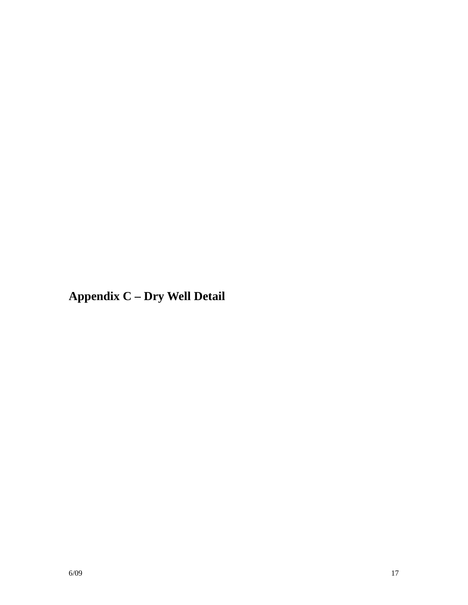**Appendix C – Dry Well Detail**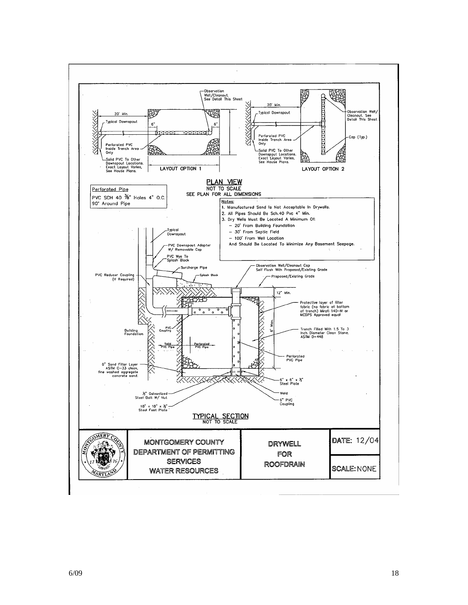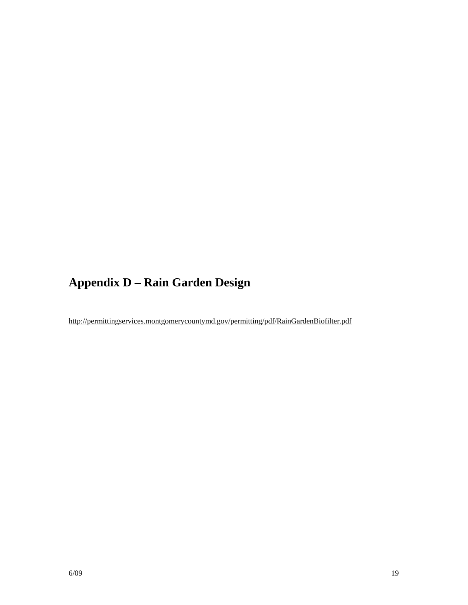# **Appendix D – Rain Garden Design**

http://permittingservices.montgomerycountymd.gov/permitting/pdf/RainGardenBiofilter.pdf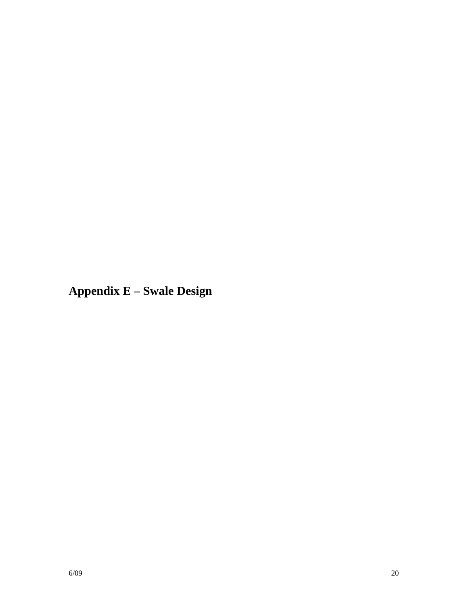**Appendix E – Swale Design**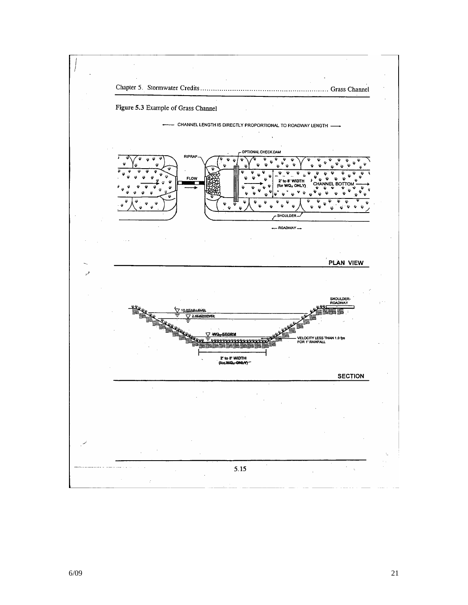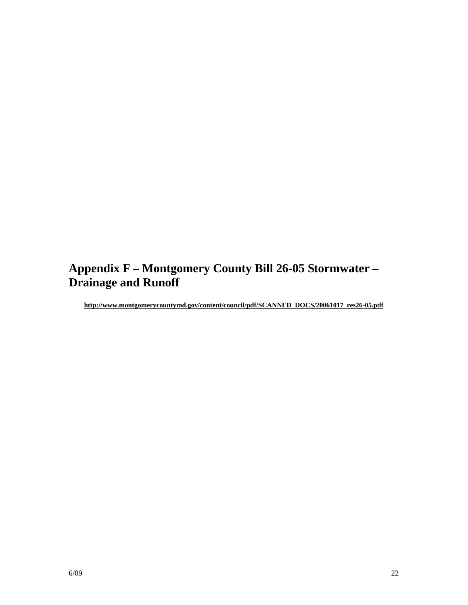# **Appendix F – Montgomery County Bill 26-05 Stormwater – Drainage and Runoff**

**http://www.montgomerycountymd.gov/content/council/pdf/SCANNED\_DOCS/20061017\_res26-05.pdf**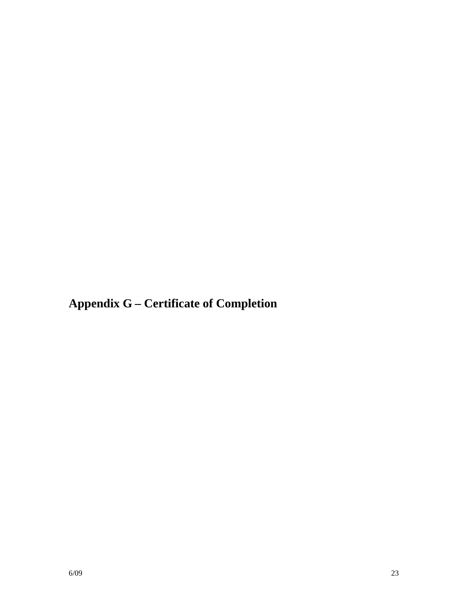**Appendix G – Certificate of Completion**